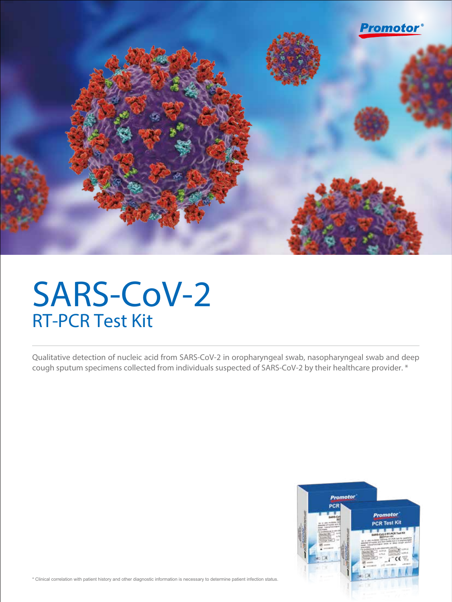

# SARS-CoV-2 RT-PCR Test Kit

Qualitative detection of nucleic acid from SARS-CoV-2 in oropharyngeal swab, nasopharyngeal swab and deep cough sputum specimens collected from individuals suspected of SARS-CoV-2 by their healthcare provider. \*



\* Clinical correlation with patient history and other diagnostic information is necessary to determine patient infection status.